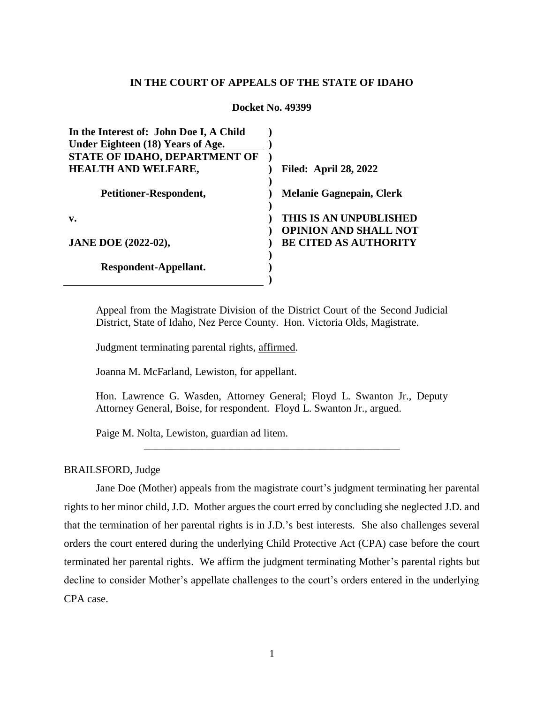## **IN THE COURT OF APPEALS OF THE STATE OF IDAHO**

#### **Docket No. 49399**

| In the Interest of: John Doe I, A Child |                                 |
|-----------------------------------------|---------------------------------|
| Under Eighteen (18) Years of Age.       |                                 |
| STATE OF IDAHO, DEPARTMENT OF           |                                 |
| <b>HEALTH AND WELFARE,</b>              | <b>Filed: April 28, 2022</b>    |
| Petitioner-Respondent,                  | <b>Melanie Gagnepain, Clerk</b> |
| $\mathbf{v}$ .                          | THIS IS AN UNPUBLISHED          |
|                                         | <b>OPINION AND SHALL NOT</b>    |
| <b>JANE DOE (2022-02),</b>              | <b>BE CITED AS AUTHORITY</b>    |
|                                         |                                 |
| Respondent-Appellant.                   |                                 |
|                                         |                                 |

Appeal from the Magistrate Division of the District Court of the Second Judicial District, State of Idaho, Nez Perce County. Hon. Victoria Olds, Magistrate.

Judgment terminating parental rights, affirmed.

Joanna M. McFarland, Lewiston, for appellant.

Hon. Lawrence G. Wasden, Attorney General; Floyd L. Swanton Jr., Deputy Attorney General, Boise, for respondent. Floyd L. Swanton Jr., argued.

\_\_\_\_\_\_\_\_\_\_\_\_\_\_\_\_\_\_\_\_\_\_\_\_\_\_\_\_\_\_\_\_\_\_\_\_\_\_\_\_\_\_\_\_\_\_\_\_

Paige M. Nolta, Lewiston, guardian ad litem.

### BRAILSFORD, Judge

Jane Doe (Mother) appeals from the magistrate court's judgment terminating her parental rights to her minor child, J.D. Mother argues the court erred by concluding she neglected J.D. and that the termination of her parental rights is in J.D.'s best interests. She also challenges several orders the court entered during the underlying Child Protective Act (CPA) case before the court terminated her parental rights. We affirm the judgment terminating Mother's parental rights but decline to consider Mother's appellate challenges to the court's orders entered in the underlying CPA case.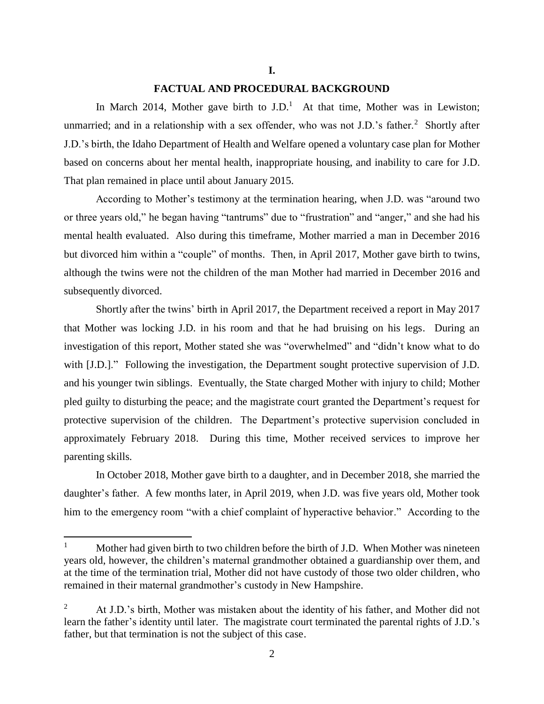#### **I.**

## **FACTUAL AND PROCEDURAL BACKGROUND**

In March 2014, Mother gave birth to  $J.D.<sup>1</sup>$  At that time, Mother was in Lewiston; unmarried; and in a relationship with a sex offender, who was not J.D.'s father.<sup>2</sup> Shortly after J.D.'s birth, the Idaho Department of Health and Welfare opened a voluntary case plan for Mother based on concerns about her mental health, inappropriate housing, and inability to care for J.D. That plan remained in place until about January 2015.

According to Mother's testimony at the termination hearing, when J.D. was "around two or three years old," he began having "tantrums" due to "frustration" and "anger," and she had his mental health evaluated. Also during this timeframe, Mother married a man in December 2016 but divorced him within a "couple" of months. Then, in April 2017, Mother gave birth to twins, although the twins were not the children of the man Mother had married in December 2016 and subsequently divorced.

Shortly after the twins' birth in April 2017, the Department received a report in May 2017 that Mother was locking J.D. in his room and that he had bruising on his legs. During an investigation of this report, Mother stated she was "overwhelmed" and "didn't know what to do with [J.D.]." Following the investigation, the Department sought protective supervision of J.D. and his younger twin siblings. Eventually, the State charged Mother with injury to child; Mother pled guilty to disturbing the peace; and the magistrate court granted the Department's request for protective supervision of the children. The Department's protective supervision concluded in approximately February 2018. During this time, Mother received services to improve her parenting skills.

In October 2018, Mother gave birth to a daughter, and in December 2018, she married the daughter's father. A few months later, in April 2019, when J.D. was five years old, Mother took him to the emergency room "with a chief complaint of hyperactive behavior." According to the

<sup>&</sup>lt;sup>1</sup> Mother had given birth to two children before the birth of J.D. When Mother was nineteen years old, however, the children's maternal grandmother obtained a guardianship over them, and at the time of the termination trial, Mother did not have custody of those two older children, who remained in their maternal grandmother's custody in New Hampshire.

<sup>&</sup>lt;sup>2</sup> At J.D.'s birth, Mother was mistaken about the identity of his father, and Mother did not learn the father's identity until later. The magistrate court terminated the parental rights of J.D.'s father, but that termination is not the subject of this case.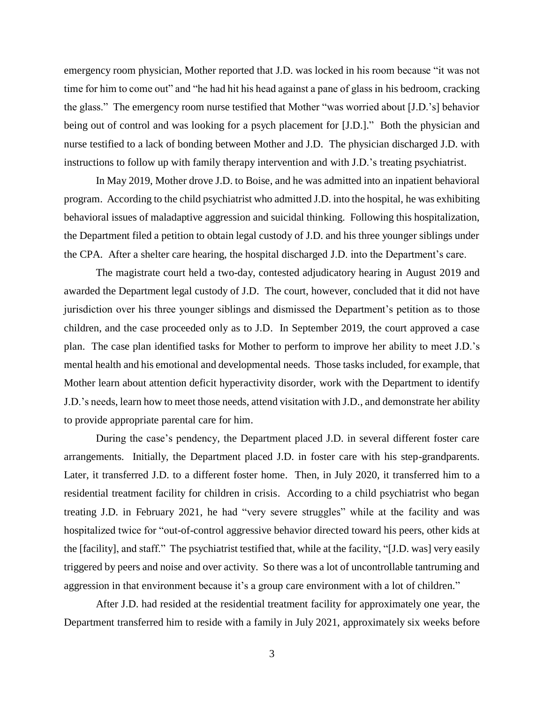emergency room physician, Mother reported that J.D. was locked in his room because "it was not time for him to come out" and "he had hit his head against a pane of glass in his bedroom, cracking the glass." The emergency room nurse testified that Mother "was worried about [J.D.'s] behavior being out of control and was looking for a psych placement for [J.D.]." Both the physician and nurse testified to a lack of bonding between Mother and J.D. The physician discharged J.D. with instructions to follow up with family therapy intervention and with J.D.'s treating psychiatrist.

In May 2019, Mother drove J.D. to Boise, and he was admitted into an inpatient behavioral program. According to the child psychiatrist who admitted J.D. into the hospital, he was exhibiting behavioral issues of maladaptive aggression and suicidal thinking. Following this hospitalization, the Department filed a petition to obtain legal custody of J.D. and his three younger siblings under the CPA. After a shelter care hearing, the hospital discharged J.D. into the Department's care.

The magistrate court held a two-day, contested adjudicatory hearing in August 2019 and awarded the Department legal custody of J.D. The court, however, concluded that it did not have jurisdiction over his three younger siblings and dismissed the Department's petition as to those children, and the case proceeded only as to J.D. In September 2019, the court approved a case plan. The case plan identified tasks for Mother to perform to improve her ability to meet J.D.'s mental health and his emotional and developmental needs. Those tasks included, for example, that Mother learn about attention deficit hyperactivity disorder, work with the Department to identify J.D.'s needs, learn how to meet those needs, attend visitation with J.D., and demonstrate her ability to provide appropriate parental care for him.

During the case's pendency, the Department placed J.D. in several different foster care arrangements. Initially, the Department placed J.D. in foster care with his step-grandparents. Later, it transferred J.D. to a different foster home. Then, in July 2020, it transferred him to a residential treatment facility for children in crisis. According to a child psychiatrist who began treating J.D. in February 2021, he had "very severe struggles" while at the facility and was hospitalized twice for "out-of-control aggressive behavior directed toward his peers, other kids at the [facility], and staff." The psychiatrist testified that, while at the facility, "[J.D. was] very easily triggered by peers and noise and over activity. So there was a lot of uncontrollable tantruming and aggression in that environment because it's a group care environment with a lot of children."

After J.D. had resided at the residential treatment facility for approximately one year, the Department transferred him to reside with a family in July 2021, approximately six weeks before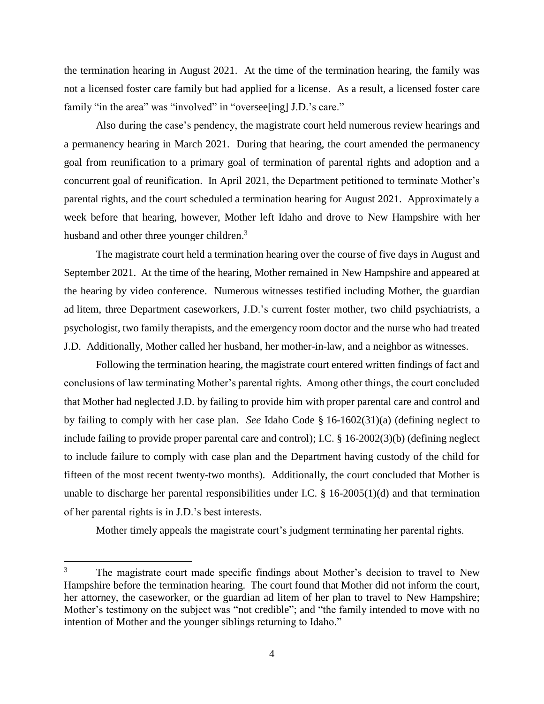the termination hearing in August 2021. At the time of the termination hearing, the family was not a licensed foster care family but had applied for a license. As a result, a licensed foster care family "in the area" was "involved" in "oversee[ing] J.D.'s care."

Also during the case's pendency, the magistrate court held numerous review hearings and a permanency hearing in March 2021. During that hearing, the court amended the permanency goal from reunification to a primary goal of termination of parental rights and adoption and a concurrent goal of reunification. In April 2021, the Department petitioned to terminate Mother's parental rights, and the court scheduled a termination hearing for August 2021. Approximately a week before that hearing, however, Mother left Idaho and drove to New Hampshire with her husband and other three younger children.<sup>3</sup>

The magistrate court held a termination hearing over the course of five days in August and September 2021. At the time of the hearing, Mother remained in New Hampshire and appeared at the hearing by video conference. Numerous witnesses testified including Mother, the guardian ad litem, three Department caseworkers, J.D.'s current foster mother, two child psychiatrists, a psychologist, two family therapists, and the emergency room doctor and the nurse who had treated J.D. Additionally, Mother called her husband, her mother-in-law, and a neighbor as witnesses.

Following the termination hearing, the magistrate court entered written findings of fact and conclusions of law terminating Mother's parental rights. Among other things, the court concluded that Mother had neglected J.D. by failing to provide him with proper parental care and control and by failing to comply with her case plan. *See* Idaho Code § 16-1602(31)(a) (defining neglect to include failing to provide proper parental care and control); I.C. § 16-2002(3)(b) (defining neglect to include failure to comply with case plan and the Department having custody of the child for fifteen of the most recent twenty-two months). Additionally, the court concluded that Mother is unable to discharge her parental responsibilities under I.C. § 16-2005(1)(d) and that termination of her parental rights is in J.D.'s best interests.

Mother timely appeals the magistrate court's judgment terminating her parental rights.

<sup>&</sup>lt;sup>3</sup> The magistrate court made specific findings about Mother's decision to travel to New Hampshire before the termination hearing. The court found that Mother did not inform the court, her attorney, the caseworker, or the guardian ad litem of her plan to travel to New Hampshire; Mother's testimony on the subject was "not credible"; and "the family intended to move with no intention of Mother and the younger siblings returning to Idaho."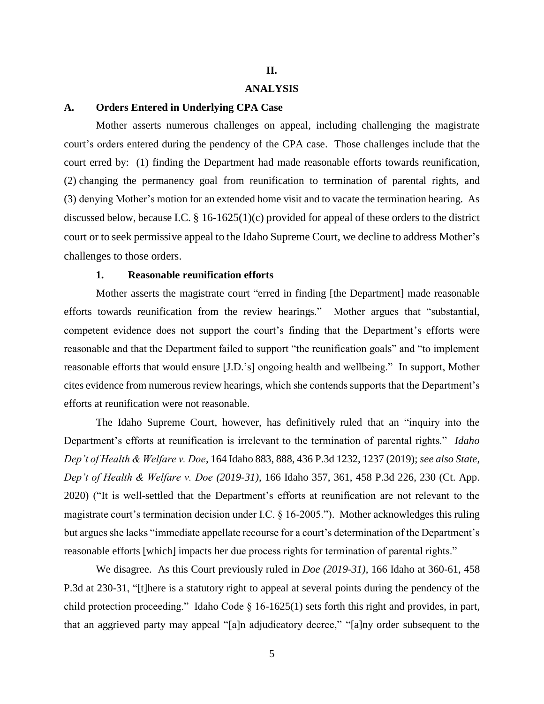## **II.**

# **ANALYSIS**

### **A. Orders Entered in Underlying CPA Case**

Mother asserts numerous challenges on appeal, including challenging the magistrate court's orders entered during the pendency of the CPA case. Those challenges include that the court erred by: (1) finding the Department had made reasonable efforts towards reunification, (2) changing the permanency goal from reunification to termination of parental rights, and (3) denying Mother's motion for an extended home visit and to vacate the termination hearing. As discussed below, because I.C. § 16-1625(1)(c) provided for appeal of these orders to the district court or to seek permissive appeal to the Idaho Supreme Court, we decline to address Mother's challenges to those orders.

## **1. Reasonable reunification efforts**

Mother asserts the magistrate court "erred in finding [the Department] made reasonable efforts towards reunification from the review hearings." Mother argues that "substantial, competent evidence does not support the court's finding that the Department's efforts were reasonable and that the Department failed to support "the reunification goals" and "to implement reasonable efforts that would ensure [J.D.'s] ongoing health and wellbeing." In support, Mother cites evidence from numerous review hearings, which she contends supports that the Department's efforts at reunification were not reasonable.

The Idaho Supreme Court, however, has definitively ruled that an "inquiry into the Department's efforts at reunification is irrelevant to the termination of parental rights." *Idaho Dep't of Health & Welfare v. Doe*, 164 Idaho 883, 888, 436 P.3d 1232, 1237 (2019); *see also State, Dep't of Health & Welfare v. Doe (2019-31)*, 166 Idaho 357, 361, 458 P.3d 226, 230 (Ct. App. 2020) ("It is well-settled that the Department's efforts at reunification are not relevant to the magistrate court's termination decision under I.C. § 16-2005."). Mother acknowledges this ruling but argues she lacks "immediate appellate recourse for a court's determination of the Department's reasonable efforts [which] impacts her due process rights for termination of parental rights."

We disagree. As this Court previously ruled in *Doe (2019-31)*, 166 Idaho at 360-61, 458 P.3d at 230-31, "[t]here is a statutory right to appeal at several points during the pendency of the child protection proceeding." Idaho Code  $\S$  16-1625(1) sets forth this right and provides, in part, that an aggrieved party may appeal "[a]n adjudicatory decree," "[a]ny order subsequent to the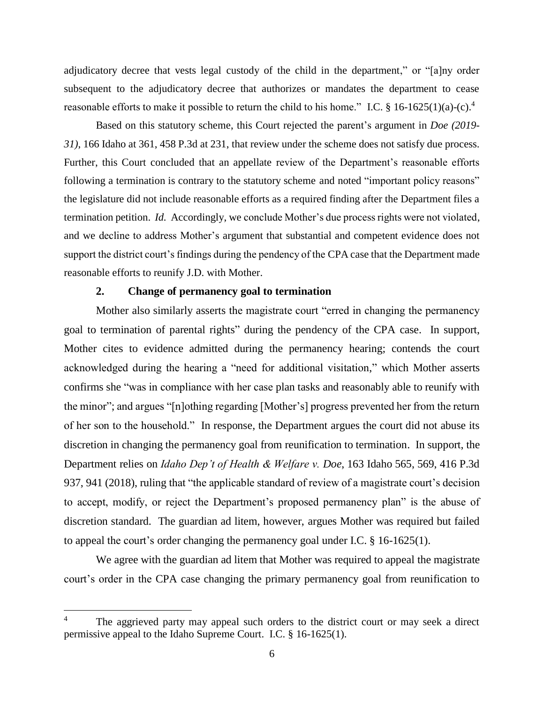adjudicatory decree that vests legal custody of the child in the department," or "[a]ny order subsequent to the adjudicatory decree that authorizes or mandates the department to cease reasonable efforts to make it possible to return the child to his home." I.C. § 16-1625(1)(a)-(c).<sup>4</sup>

Based on this statutory scheme, this Court rejected the parent's argument in *Doe (2019- 31)*, 166 Idaho at 361, 458 P.3d at 231, that review under the scheme does not satisfy due process. Further, this Court concluded that an appellate review of the Department's reasonable efforts following a termination is contrary to the statutory scheme and noted "important policy reasons" the legislature did not include reasonable efforts as a required finding after the Department files a termination petition. *Id.* Accordingly, we conclude Mother's due process rights were not violated, and we decline to address Mother's argument that substantial and competent evidence does not support the district court's findings during the pendency of the CPA case that the Department made reasonable efforts to reunify J.D. with Mother.

# **2. Change of permanency goal to termination**

Mother also similarly asserts the magistrate court "erred in changing the permanency goal to termination of parental rights" during the pendency of the CPA case. In support, Mother cites to evidence admitted during the permanency hearing; contends the court acknowledged during the hearing a "need for additional visitation," which Mother asserts confirms she "was in compliance with her case plan tasks and reasonably able to reunify with the minor"; and argues "[n]othing regarding [Mother's] progress prevented her from the return of her son to the household." In response, the Department argues the court did not abuse its discretion in changing the permanency goal from reunification to termination. In support, the Department relies on *Idaho Dep't of Health & Welfare v. Doe*, 163 Idaho 565, 569, 416 P.3d 937, 941 (2018), ruling that "the applicable standard of review of a magistrate court's decision to accept, modify, or reject the Department's proposed permanency plan" is the abuse of discretion standard. The guardian ad litem, however, argues Mother was required but failed to appeal the court's order changing the permanency goal under I.C. § 16-1625(1).

We agree with the guardian ad litem that Mother was required to appeal the magistrate court's order in the CPA case changing the primary permanency goal from reunification to

<sup>4</sup> The aggrieved party may appeal such orders to the district court or may seek a direct permissive appeal to the Idaho Supreme Court. I.C. § 16-1625(1).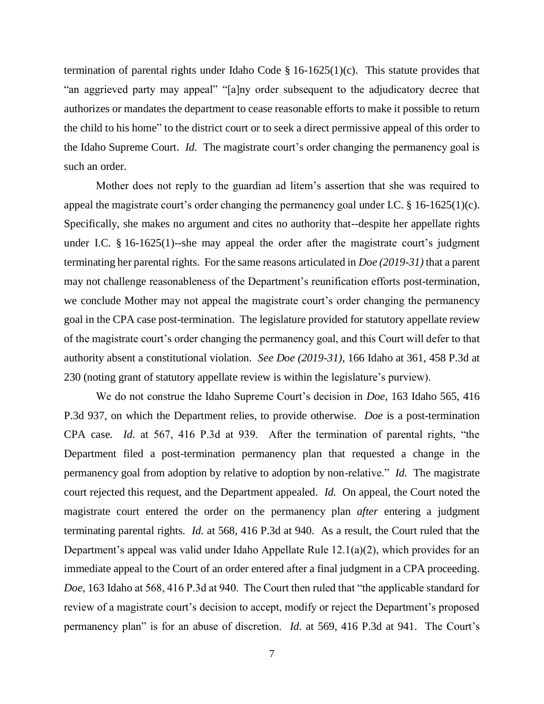termination of parental rights under Idaho Code  $\S$  16-1625(1)(c). This statute provides that "an aggrieved party may appeal" "[a]ny order subsequent to the adjudicatory decree that authorizes or mandates the department to cease reasonable efforts to make it possible to return the child to his home" to the district court or to seek a direct permissive appeal of this order to the Idaho Supreme Court. *Id.* The magistrate court's order changing the permanency goal is such an order.

Mother does not reply to the guardian ad litem's assertion that she was required to appeal the magistrate court's order changing the permanency goal under I.C. § 16-1625(1)(c). Specifically, she makes no argument and cites no authority that--despite her appellate rights under I.C. § 16-1625(1)--she may appeal the order after the magistrate court's judgment terminating her parental rights. For the same reasons articulated in *Doe (2019-31)* that a parent may not challenge reasonableness of the Department's reunification efforts post-termination, we conclude Mother may not appeal the magistrate court's order changing the permanency goal in the CPA case post-termination. The legislature provided for statutory appellate review of the magistrate court's order changing the permanency goal, and this Court will defer to that authority absent a constitutional violation. *See Doe (2019-31)*, 166 Idaho at 361, 458 P.3d at 230 (noting grant of statutory appellate review is within the legislature's purview).

We do not construe the Idaho Supreme Court's decision in *Doe*, 163 Idaho 565, 416 P.3d 937, on which the Department relies, to provide otherwise. *Doe* is a post-termination CPA case. *Id.* at 567, 416 P.3d at 939. After the termination of parental rights, "the Department filed a post-termination permanency plan that requested a change in the permanency goal from adoption by relative to adoption by non-relative." *Id.* The magistrate court rejected this request, and the Department appealed. *Id.* On appeal, the Court noted the magistrate court entered the order on the permanency plan *after* entering a judgment terminating parental rights. *Id.* at 568, 416 P.3d at 940. As a result, the Court ruled that the Department's appeal was valid under Idaho Appellate Rule 12.1(a)(2), which provides for an immediate appeal to the Court of an order entered after a final judgment in a CPA proceeding. *Doe*, 163 Idaho at 568, 416 P.3d at 940. The Court then ruled that "the applicable standard for review of a magistrate court's decision to accept, modify or reject the Department's proposed permanency plan" is for an abuse of discretion. *Id.* at 569, 416 P.3d at 941. The Court's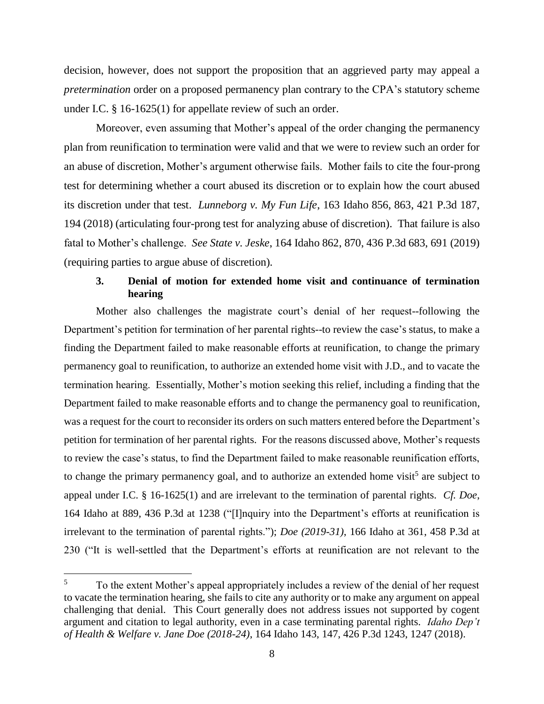decision, however, does not support the proposition that an aggrieved party may appeal a *pretermination* order on a proposed permanency plan contrary to the CPA's statutory scheme under I.C. § 16-1625(1) for appellate review of such an order.

Moreover, even assuming that Mother's appeal of the order changing the permanency plan from reunification to termination were valid and that we were to review such an order for an abuse of discretion, Mother's argument otherwise fails. Mother fails to cite the four-prong test for determining whether a court abused its discretion or to explain how the court abused its discretion under that test. *Lunneborg v. My Fun Life*, 163 Idaho 856, 863, 421 P.3d 187, 194 (2018) (articulating four-prong test for analyzing abuse of discretion). That failure is also fatal to Mother's challenge. *See State v. Jeske*, 164 Idaho 862, 870, 436 P.3d 683, 691 (2019) (requiring parties to argue abuse of discretion).

# **3. Denial of motion for extended home visit and continuance of termination hearing**

Mother also challenges the magistrate court's denial of her request--following the Department's petition for termination of her parental rights--to review the case's status, to make a finding the Department failed to make reasonable efforts at reunification, to change the primary permanency goal to reunification, to authorize an extended home visit with J.D., and to vacate the termination hearing. Essentially, Mother's motion seeking this relief, including a finding that the Department failed to make reasonable efforts and to change the permanency goal to reunification, was a request for the court to reconsider its orders on such matters entered before the Department's petition for termination of her parental rights. For the reasons discussed above, Mother's requests to review the case's status, to find the Department failed to make reasonable reunification efforts, to change the primary permanency goal, and to authorize an extended home visit<sup>5</sup> are subject to appeal under I.C. § 16-1625(1) and are irrelevant to the termination of parental rights. *Cf. Doe*, 164 Idaho at 889, 436 P.3d at 1238 ("[I]nquiry into the Department's efforts at reunification is irrelevant to the termination of parental rights."); *Doe (2019-31)*, 166 Idaho at 361, 458 P.3d at 230 ("It is well-settled that the Department's efforts at reunification are not relevant to the

 $5 \overline{5}$  To the extent Mother's appeal appropriately includes a review of the denial of her request to vacate the termination hearing, she fails to cite any authority or to make any argument on appeal challenging that denial. This Court generally does not address issues not supported by cogent argument and citation to legal authority, even in a case terminating parental rights. *Idaho Dep't of Health & Welfare v. Jane Doe (2018-24)*, 164 Idaho 143, 147, 426 P.3d 1243, 1247 (2018).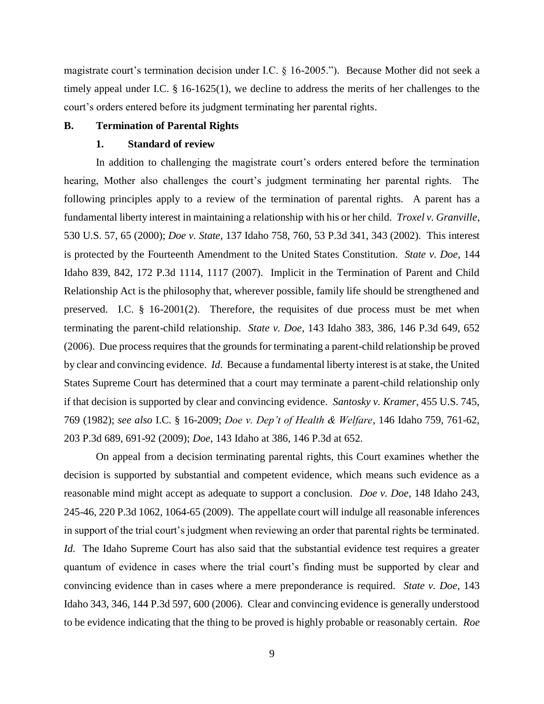magistrate court's termination decision under I.C. § 16-2005."). Because Mother did not seek a timely appeal under I.C. § 16-1625(1), we decline to address the merits of her challenges to the court's orders entered before its judgment terminating her parental rights.

#### **B. Termination of Parental Rights**

### **1. Standard of review**

In addition to challenging the magistrate court's orders entered before the termination hearing, Mother also challenges the court's judgment terminating her parental rights. The following principles apply to a review of the termination of parental rights. A parent has a fundamental liberty interest in maintaining a relationship with his or her child. *Troxel v. Granville*, 530 U.S. 57, 65 (2000); *Doe v. State*, 137 Idaho 758, 760, 53 P.3d 341, 343 (2002). This interest is protected by the Fourteenth Amendment to the United States Constitution. *State v. Doe*, 144 Idaho 839, 842, 172 P.3d 1114, 1117 (2007). Implicit in the Termination of Parent and Child Relationship Act is the philosophy that, wherever possible, family life should be strengthened and preserved. I.C. § 16-2001(2). Therefore, the requisites of due process must be met when terminating the parent-child relationship. *State v. Doe*, 143 Idaho 383, 386, 146 P.3d 649, 652 (2006). Due process requires that the grounds for terminating a parent-child relationship be proved by clear and convincing evidence. *Id*. Because a fundamental liberty interest is at stake, the United States Supreme Court has determined that a court may terminate a parent-child relationship only if that decision is supported by clear and convincing evidence. *Santosky v. Kramer*, 455 U.S. 745, 769 (1982); *see also* I.C. § 16-2009; *Doe v. Dep't of Health & Welfare*, 146 Idaho 759, 761-62, 203 P.3d 689, 691-92 (2009); *Doe*, 143 Idaho at 386, 146 P.3d at 652.

On appeal from a decision terminating parental rights, this Court examines whether the decision is supported by substantial and competent evidence, which means such evidence as a reasonable mind might accept as adequate to support a conclusion. *Doe v. Doe*, 148 Idaho 243, 245-46, 220 P.3d 1062, 1064-65 (2009). The appellate court will indulge all reasonable inferences in support of the trial court's judgment when reviewing an order that parental rights be terminated. *Id.* The Idaho Supreme Court has also said that the substantial evidence test requires a greater quantum of evidence in cases where the trial court's finding must be supported by clear and convincing evidence than in cases where a mere preponderance is required. *State v. Doe*, 143 Idaho 343, 346, 144 P.3d 597, 600 (2006). Clear and convincing evidence is generally understood to be evidence indicating that the thing to be proved is highly probable or reasonably certain. *Roe*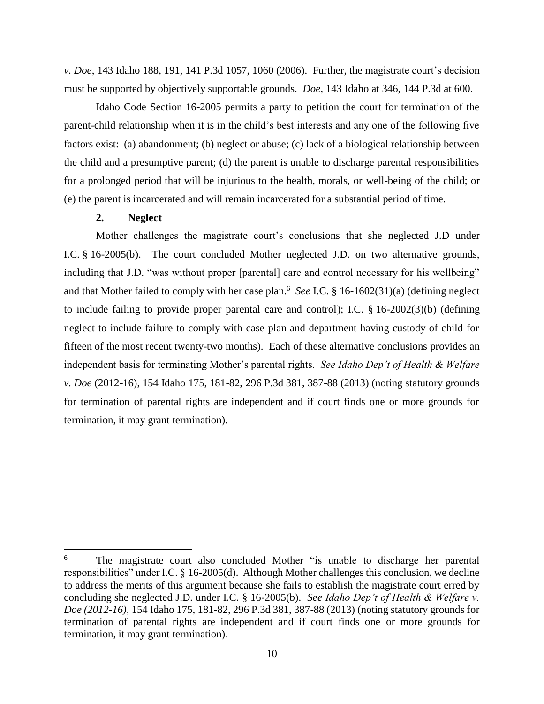*v. Doe*, 143 Idaho 188, 191, 141 P.3d 1057, 1060 (2006). Further, the magistrate court's decision must be supported by objectively supportable grounds. *Doe*, 143 Idaho at 346, 144 P.3d at 600.

Idaho Code Section 16-2005 permits a party to petition the court for termination of the parent-child relationship when it is in the child's best interests and any one of the following five factors exist: (a) abandonment; (b) neglect or abuse; (c) lack of a biological relationship between the child and a presumptive parent; (d) the parent is unable to discharge parental responsibilities for a prolonged period that will be injurious to the health, morals, or well-being of the child; or (e) the parent is incarcerated and will remain incarcerated for a substantial period of time.

### **2. Neglect**

Mother challenges the magistrate court's conclusions that she neglected J.D under I.C. § 16-2005(b). The court concluded Mother neglected J.D. on two alternative grounds, including that J.D. "was without proper [parental] care and control necessary for his wellbeing" and that Mother failed to comply with her case plan.<sup>6</sup> See I.C. § 16-1602(31)(a) (defining neglect to include failing to provide proper parental care and control); I.C. § 16-2002(3)(b) (defining neglect to include failure to comply with case plan and department having custody of child for fifteen of the most recent twenty-two months). Each of these alternative conclusions provides an independent basis for terminating Mother's parental rights. *See Idaho Dep't of Health & Welfare v. Doe* (2012-16), 154 Idaho 175, 181-82, 296 P.3d 381, 387-88 (2013) (noting statutory grounds for termination of parental rights are independent and if court finds one or more grounds for termination, it may grant termination).

 $\boldsymbol{6}$ The magistrate court also concluded Mother "is unable to discharge her parental responsibilities" under I.C. § 16-2005(d). Although Mother challenges this conclusion, we decline to address the merits of this argument because she fails to establish the magistrate court erred by concluding she neglected J.D. under I.C. § 16-2005(b). *See Idaho Dep't of Health & Welfare v. Doe (2012-16)*, 154 Idaho 175, 181-82, 296 P.3d 381, 387-88 (2013) (noting statutory grounds for termination of parental rights are independent and if court finds one or more grounds for termination, it may grant termination).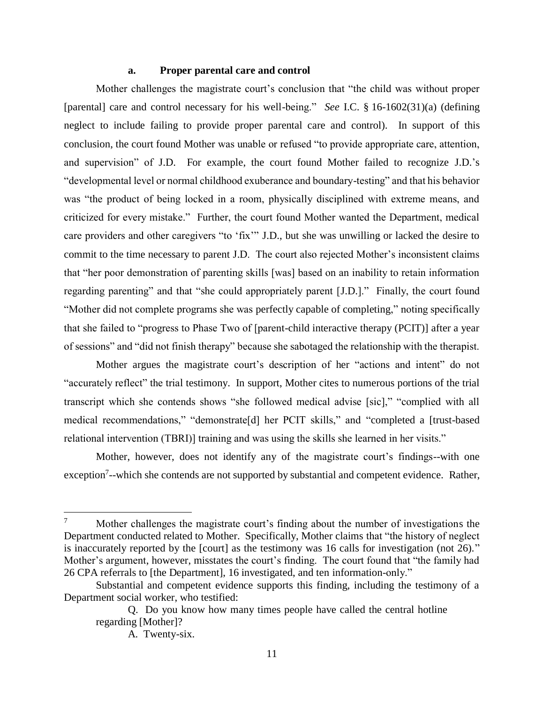## **a. Proper parental care and control**

Mother challenges the magistrate court's conclusion that "the child was without proper [parental] care and control necessary for his well-being." *See* I.C. § 16-1602(31)(a) (defining neglect to include failing to provide proper parental care and control). In support of this conclusion, the court found Mother was unable or refused "to provide appropriate care, attention, and supervision" of J.D. For example, the court found Mother failed to recognize J.D.'s "developmental level or normal childhood exuberance and boundary-testing" and that his behavior was "the product of being locked in a room, physically disciplined with extreme means, and criticized for every mistake." Further, the court found Mother wanted the Department, medical care providers and other caregivers "to 'fix'" J.D., but she was unwilling or lacked the desire to commit to the time necessary to parent J.D. The court also rejected Mother's inconsistent claims that "her poor demonstration of parenting skills [was] based on an inability to retain information regarding parenting" and that "she could appropriately parent [J.D.]." Finally, the court found "Mother did not complete programs she was perfectly capable of completing," noting specifically that she failed to "progress to Phase Two of [parent-child interactive therapy (PCIT)] after a year of sessions" and "did not finish therapy" because she sabotaged the relationship with the therapist.

Mother argues the magistrate court's description of her "actions and intent" do not "accurately reflect" the trial testimony. In support, Mother cites to numerous portions of the trial transcript which she contends shows "she followed medical advise [sic]," "complied with all medical recommendations," "demonstrate[d] her PCIT skills," and "completed a [trust-based relational intervention (TBRI)] training and was using the skills she learned in her visits."

Mother, however, does not identify any of the magistrate court's findings--with one exception<sup>7</sup>--which she contends are not supported by substantial and competent evidence. Rather,

Mother challenges the magistrate court's finding about the number of investigations the Department conducted related to Mother. Specifically, Mother claims that "the history of neglect is inaccurately reported by the [court] as the testimony was 16 calls for investigation (not 26)." Mother's argument, however, misstates the court's finding. The court found that "the family had 26 CPA referrals to [the Department], 16 investigated, and ten information-only."

Substantial and competent evidence supports this finding, including the testimony of a Department social worker, who testified:

Q. Do you know how many times people have called the central hotline regarding [Mother]?

A. Twenty-six.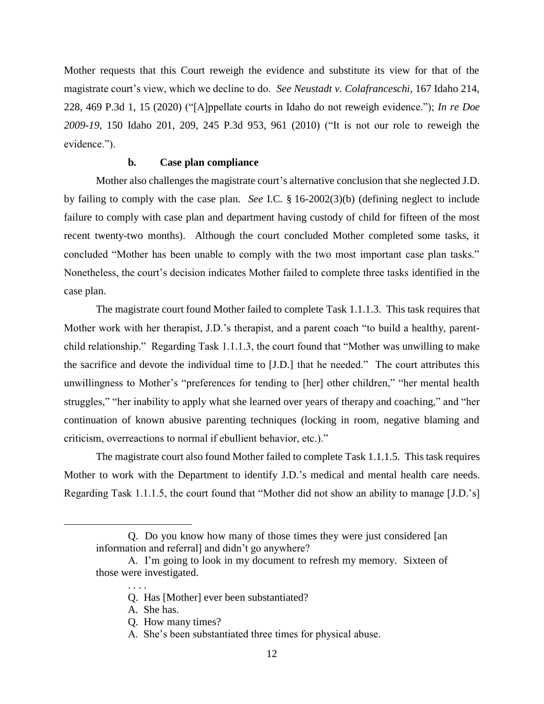Mother requests that this Court reweigh the evidence and substitute its view for that of the magistrate court's view, which we decline to do. *See Neustadt v. [Colafranceschi](https://1.next.westlaw.com/Link/Document/FullText?findType=Y&serNum=2051555312&pubNum=0004645&originatingDoc=I5a953610011211ec9164a71560b00466&refType=RP&fi=co_pp_sp_4645_14&originationContext=document&transitionType=DocumentItem&ppcid=81025817d1a54e19a079e2bcca701052&contextData=(sc.DocLink)#co_pp_sp_4645_14)*, 167 Idaho 214, 228, 469 P.3d 1, 15 [\(2020\)](https://1.next.westlaw.com/Link/Document/FullText?findType=Y&serNum=2051555312&pubNum=0004645&originatingDoc=I5a953610011211ec9164a71560b00466&refType=RP&fi=co_pp_sp_4645_14&originationContext=document&transitionType=DocumentItem&ppcid=81025817d1a54e19a079e2bcca701052&contextData=(sc.DocLink)#co_pp_sp_4645_14) ("[A]ppellate courts in Idaho do not reweigh evidence."); *In re [Doe](https://1.next.westlaw.com/Link/Document/FullText?findType=Y&serNum=2023835367&pubNum=0004645&originatingDoc=I5a953610011211ec9164a71560b00466&refType=RP&fi=co_pp_sp_4645_961&originationContext=document&transitionType=DocumentItem&ppcid=81025817d1a54e19a079e2bcca701052&contextData=(sc.DocLink)#co_pp_sp_4645_961) [2009-19](https://1.next.westlaw.com/Link/Document/FullText?findType=Y&serNum=2023835367&pubNum=0004645&originatingDoc=I5a953610011211ec9164a71560b00466&refType=RP&fi=co_pp_sp_4645_961&originationContext=document&transitionType=DocumentItem&ppcid=81025817d1a54e19a079e2bcca701052&contextData=(sc.DocLink)#co_pp_sp_4645_961)*, 150 Idaho 201, 209, 245 P.3d 953, 961 (2010) ("It is not our role to reweigh the evidence.").

## **b. Case plan compliance**

Mother also challenges the magistrate court's alternative conclusion that she neglected J.D. by failing to comply with the case plan. *See* I.C. § 16-2002(3)(b) (defining neglect to include failure to comply with case plan and department having custody of child for fifteen of the most recent twenty-two months). Although the court concluded Mother completed some tasks, it concluded "Mother has been unable to comply with the two most important case plan tasks." Nonetheless, the court's decision indicates Mother failed to complete three tasks identified in the case plan.

The magistrate court found Mother failed to complete Task 1.1.1.3. This task requires that Mother work with her therapist, J.D.'s therapist, and a parent coach "to build a healthy, parentchild relationship." Regarding Task 1.1.1.3, the court found that "Mother was unwilling to make the sacrifice and devote the individual time to [J.D.] that he needed." The court attributes this unwillingness to Mother's "preferences for tending to [her] other children," "her mental health struggles," "her inability to apply what she learned over years of therapy and coaching," and "her continuation of known abusive parenting techniques (locking in room, negative blaming and criticism, overreactions to normal if ebullient behavior, etc.)."

The magistrate court also found Mother failed to complete Task 1.1.1.5. This task requires Mother to work with the Department to identify J.D.'s medical and mental health care needs. Regarding Task 1.1.1.5, the court found that "Mother did not show an ability to manage [J.D.'s]

. . . .

Q. Do you know how many of those times they were just considered [an information and referral] and didn't go anywhere?

A. I'm going to look in my document to refresh my memory. Sixteen of those were investigated.

Q. Has [Mother] ever been substantiated?

A. She has.

Q. How many times?

A. She's been substantiated three times for physical abuse.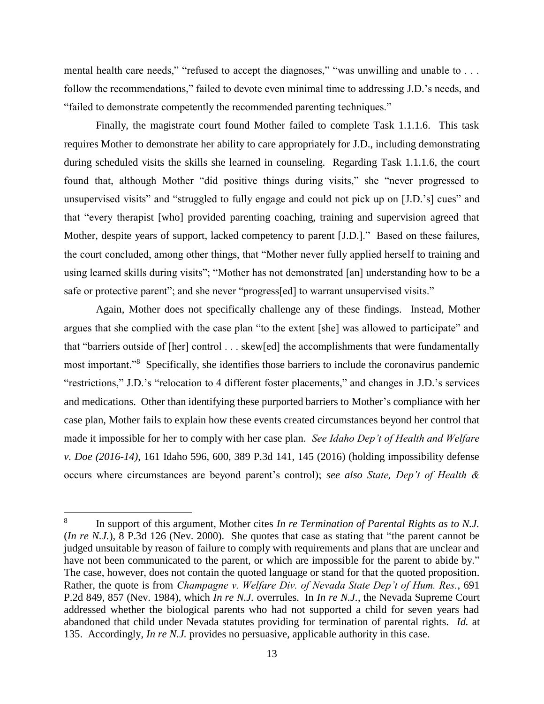mental health care needs," "refused to accept the diagnoses," "was unwilling and unable to . . . follow the recommendations," failed to devote even minimal time to addressing J.D.'s needs, and "failed to demonstrate competently the recommended parenting techniques."

Finally, the magistrate court found Mother failed to complete Task 1.1.1.6. This task requires Mother to demonstrate her ability to care appropriately for J.D., including demonstrating during scheduled visits the skills she learned in counseling. Regarding Task 1.1.1.6, the court found that, although Mother "did positive things during visits," she "never progressed to unsupervised visits" and "struggled to fully engage and could not pick up on [J.D.'s] cues" and that "every therapist [who] provided parenting coaching, training and supervision agreed that Mother, despite years of support, lacked competency to parent [J.D.]." Based on these failures, the court concluded, among other things, that "Mother never fully applied herself to training and using learned skills during visits"; "Mother has not demonstrated [an] understanding how to be a safe or protective parent"; and she never "progress[ed] to warrant unsupervised visits."

Again, Mother does not specifically challenge any of these findings. Instead, Mother argues that she complied with the case plan "to the extent [she] was allowed to participate" and that "barriers outside of [her] control . . . skew[ed] the accomplishments that were fundamentally most important."<sup>8</sup> Specifically, she identifies those barriers to include the coronavirus pandemic "restrictions," J.D.'s "relocation to 4 different foster placements," and changes in J.D.'s services and medications. Other than identifying these purported barriers to Mother's compliance with her case plan, Mother fails to explain how these events created circumstances beyond her control that made it impossible for her to comply with her case plan. *See Idaho Dep't of Health and Welfare v. Doe (2016-14)*, 161 Idaho 596, 600, 389 P.3d 141, 145 (2016) (holding impossibility defense occurs where circumstances are beyond parent's control); *see also State, Dep't of Health &* 

<sup>8</sup> In support of this argument, Mother cites *In re Termination of Parental Rights as to N.J.* (*In re N.J.*), 8 P.3d 126 (Nev. 2000). She quotes that case as stating that "the parent cannot be judged unsuitable by reason of failure to comply with requirements and plans that are unclear and have not been communicated to the parent, or which are impossible for the parent to abide by." The case, however, does not contain the quoted language or stand for that the quoted proposition. Rather, the quote is from *Champagne v. Welfare Div. of Nevada State Dep't of Hum. Res.*, 691 P.2d 849, 857 (Nev. 1984), which *In re N.J.* overrules. In *In re N.J.*, the Nevada Supreme Court addressed whether the biological parents who had not supported a child for seven years had abandoned that child under Nevada statutes providing for termination of parental rights. *Id.* at 135. Accordingly, *In re N.J.* provides no persuasive, applicable authority in this case.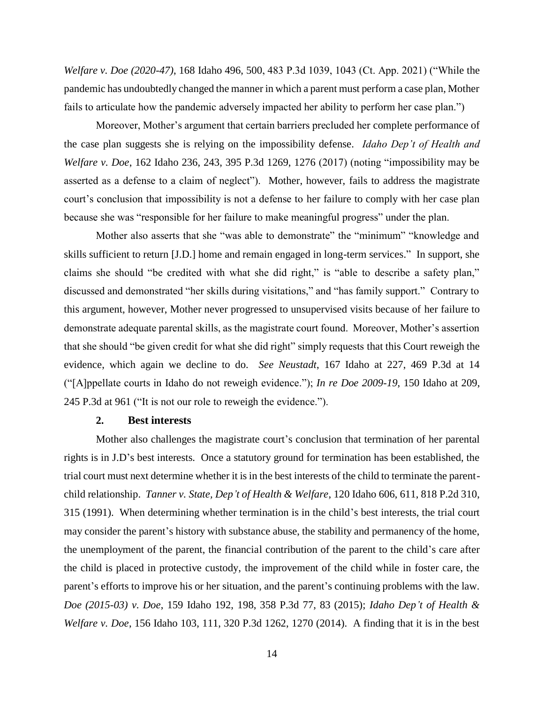*Welfare v. Doe (2020-47)*, 168 Idaho 496, 500, 483 P.3d 1039, 1043 (Ct. App. 2021) ("While the pandemic has undoubtedly changed the manner in which a parent must perform a case plan, Mother fails to articulate how the pandemic adversely impacted her ability to perform her case plan.")

Moreover, Mother's argument that certain barriers precluded her complete performance of the case plan suggests she is relying on the impossibility defense. *Idaho Dep't of Health and Welfare v. Doe*, 162 Idaho 236, 243, 395 P.3d 1269, 1276 (2017) (noting "impossibility may be asserted as a defense to a claim of neglect"). Mother, however, fails to address the magistrate court's conclusion that impossibility is not a defense to her failure to comply with her case plan because she was "responsible for her failure to make meaningful progress" under the plan.

Mother also asserts that she "was able to demonstrate" the "minimum" "knowledge and skills sufficient to return [J.D.] home and remain engaged in long-term services." In support, she claims she should "be credited with what she did right," is "able to describe a safety plan," discussed and demonstrated "her skills during visitations," and "has family support." Contrary to this argument, however, Mother never progressed to unsupervised visits because of her failure to demonstrate adequate parental skills, as the magistrate court found. Moreover, Mother's assertion that she should "be given credit for what she did right" simply requests that this Court reweigh the evidence, which again we decline to do. *See [Neustadt](https://1.next.westlaw.com/Link/Document/FullText?findType=Y&serNum=2051555312&pubNum=0004645&originatingDoc=I5a953610011211ec9164a71560b00466&refType=RP&fi=co_pp_sp_4645_14&originationContext=document&transitionType=DocumentItem&ppcid=81025817d1a54e19a079e2bcca701052&contextData=(sc.DocLink)#co_pp_sp_4645_14)*, 167 Idaho at 227, 469 P.3d at 14 ("[A]ppellate courts in Idaho do not reweigh evidence."); *In re Doe [2009-19](https://1.next.westlaw.com/Link/Document/FullText?findType=Y&serNum=2023835367&pubNum=0004645&originatingDoc=I5a953610011211ec9164a71560b00466&refType=RP&fi=co_pp_sp_4645_961&originationContext=document&transitionType=DocumentItem&ppcid=81025817d1a54e19a079e2bcca701052&contextData=(sc.DocLink)#co_pp_sp_4645_961)*, 150 Idaho at 209, 245 [P.3d](https://1.next.westlaw.com/Link/Document/FullText?findType=Y&serNum=2023835367&pubNum=0004645&originatingDoc=I5a953610011211ec9164a71560b00466&refType=RP&fi=co_pp_sp_4645_961&originationContext=document&transitionType=DocumentItem&ppcid=81025817d1a54e19a079e2bcca701052&contextData=(sc.DocLink)#co_pp_sp_4645_961) at 961 ("It is not our role to reweigh the evidence.").

## **2. Best interests**

Mother also challenges the magistrate court's conclusion that termination of her parental rights is in J.D's best interests. Once a statutory ground for termination has been established, the trial court must next determine whether it is in the best interests of the child to terminate the parentchild relationship. *Tanner v. State, Dep't of Health & Welfare*, 120 Idaho 606, 611, 818 P.2d 310, 315 (1991). When determining whether termination is in the child's best interests, the trial court may consider the parent's history with substance abuse, the stability and permanency of the home, the unemployment of the parent, the financial contribution of the parent to the child's care after the child is placed in protective custody, the improvement of the child while in foster care, the parent's efforts to improve his or her situation, and the parent's continuing problems with the law. *Doe (2015-03) v. Doe*, 159 Idaho 192, 198, 358 P.3d 77, 83 (2015); *Idaho Dep't of Health & Welfare v. Doe*, 156 Idaho 103, 111, 320 P.3d 1262, 1270 (2014). A finding that it is in the best